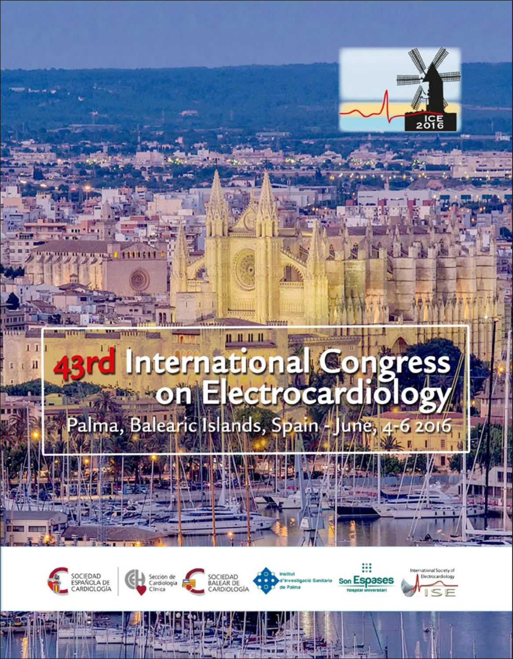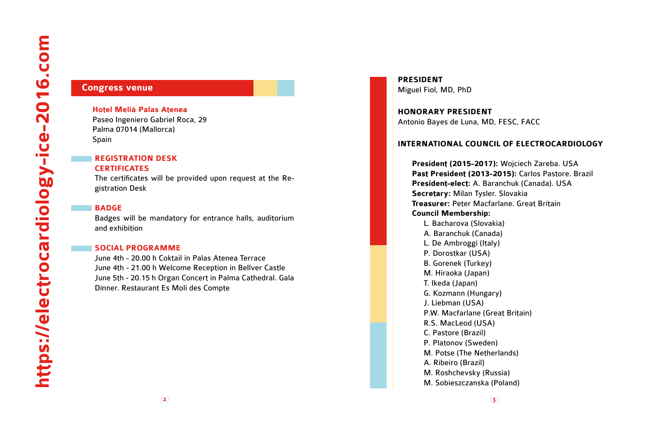# **Congress venue**

#### **Hotel Meliá Palas Atenea**

Paseo Ingeniero Gabriel Roca, 29 Palma 07014 (Mallorca) Spain

#### **REGISTRATION DESK CERTIFICATES**

The certificates will be provided upon request at the Re gistration Desk

#### **BADGE**

Badges will be mandatory for entrance halls, auditorium and exhibition

#### **SOCIAL PROGRAMME**

June 4th - 20.00 h Coktail in Palas Atenea Terrace June 4th - 21.00 h Welcome Reception in Bellver Castle June 5th - 20.15 h Organ Concert in Palma Cathedral. Gala Dinner. Restaurant Es Molí des Compte

**PRESIDENT** Miguel Fiol, MD, PhD

**HONORARY PRESIDENT** Antonio Bayes de Luna, MD, FESC, FACC

#### **INTERNATIONAL COUNCIL OF ELECTROCARDIOLOGY**

**President (2015-2017):** Wojciech Zareba. USA Past President (2013-2015): Carlos Pastore. Brazil **President-elect:** A. Baranchuk (Canada). USA **Secretary:** Milan Tysler. Slovakia **Treasurer:** Peter Macfarlane. Great Britain **Council Membership:**

L. Bacharova (Slovakia) A. Baranchuk (Canada) L. De Ambroggi (Italy) P. Dorostkar (USA) B. Gorenek (Turkey) M. Hiraoka (Japan) T. Ikeda (Japan) G. Kozmann (Hungary) J. Liebman (USA) P.W. Macfarlane (Great Britain) R.S. MacLeod (USA) C. Pastore (Brazil) P. Platonov (Sweden) M. Potse (The Netherlands) A. Ribeiro (Brazil) M. Roshchevsky (Russia) M. Sobieszczanska (Poland)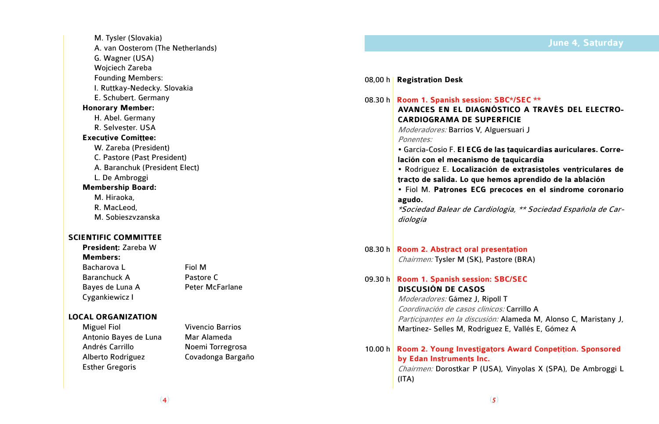**June 4, Saturday** M. Tysler (Slovakia) A. van Oosterom (The Netherlands) G. Wagner (USA) Wojciech Zareba Founding Members: I. Ruttkay-Nedecky. Slovakia E. Schubert. Germany **Honorary Member:** H. Abel. Germany R. Selvester. USA **Executive Comittee:** W. Zareba (President) C. Pastore (Past President) A. Baranchuk (President Elect) L. De Ambroggi **Membership Board:** M. Hiraoka, R. MacLeod, M. Sobieszvzanska **SCIENTIFIC COMMITTEE President:** Zareba W **Members:**

Bacharova L<br>
Fiol M Baranchuck A Pastore C Bayes de Luna A Peter McFarlane Cygankiewicz I

#### **LOCAL ORGANIZATION**

Miguel Fiol Vivencio Barrios Antonio Bayes de Luna Mar Alameda Andrés Carrillo **Noemi Torregrosa** Alberto Rodríguez Covadonga Bargaño Esther Gregoris

#### 08,00 h **Registration Desk**

| 08.30 h l | Room 1. Spanish session: SBC*/SEC **<br>AVANCES EN EL DIAGNÓSTICO A TRAVÉS DEL ELECTRO-<br><b>CARDIOGRAMA DE SUPERFICIE</b><br>Moderadores: Barrios V, Alguersuari J<br>Ponentes:<br>• García-Cosío F. El ECG de las taquicardias auriculares. Corre-<br>lación con el mecanismo de taquicardia<br>· Rodríguez E. Localización de extrasístoles ventriculares de<br>tracto de salida. Lo que hemos aprendido de la ablación<br>· Fiol M. Patrones ECG precoces en el síndrome coronario<br>agudo.<br>*Sociedad Balear de Cardiología, ** Sociedad Española de Car-<br>diología |
|-----------|--------------------------------------------------------------------------------------------------------------------------------------------------------------------------------------------------------------------------------------------------------------------------------------------------------------------------------------------------------------------------------------------------------------------------------------------------------------------------------------------------------------------------------------------------------------------------------|
| 08.30h    | Room 2. Abstract oral presentation<br>Chairmen: Tysler M (SK), Pastore (BRA)                                                                                                                                                                                                                                                                                                                                                                                                                                                                                                   |
| 09.30 h   | Room 1. Spanish session: SBC/SEC<br><b>DISCUSIÓN DE CASOS</b><br>Moderadores: Gámez J, Ripoll T<br>Coordinación de casos clínicos: Carrillo A<br>Participantes en la discusión: Alameda M, Alonso C, Maristany J,<br>Martínez- Selles M, Rodríguez E, Vallés E, Gómez A                                                                                                                                                                                                                                                                                                        |
| 10.00 h   | Room 2. Young Investigators Award Conpetition. Sponsored<br>by Edan Instruments Inc.<br>Chairmen: Dorostkar P (USA), Vinyolas X (SPA), De Ambroggi L<br>(ITA)                                                                                                                                                                                                                                                                                                                                                                                                                  |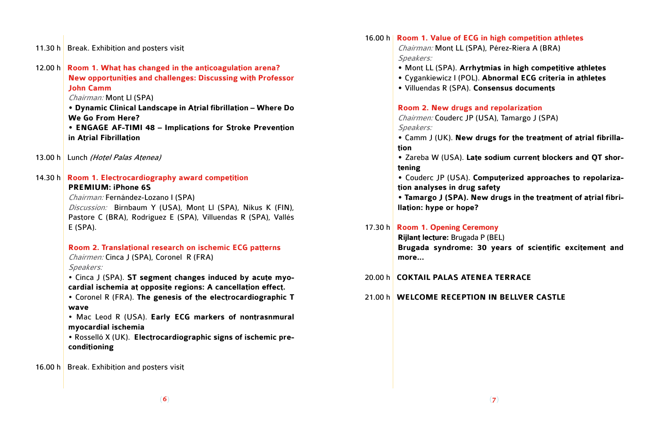- 11.30 h Break. Exhibition and posters visit
- 12.00 h **Room 1. What has changed in the anticoagulation arena? New opportunities and challenges: Discussing with Professor John Camm**

Chairman: Mont Ll (SPA)

**• Dynamic Clinical Landscape in Atrial fibrillation – Where Do We Go From Here?**

- **ENGAGE AF-TIMI 48 Implications for Stroke Prevention in Atrial Fibrillation**
- 13.00 h Lunch (Hotel Palas Atenea)

#### 14.30 h **Room 1. Electrocardiography award competition Premium: iPhone 6S**

Chairman: Fernández-Lozano I (SPA)

Discussion: Birnbaum Y (USA), Mont Ll (SPA), Nikus K (FIN), Pastore C (BRA), Rodríguez E (SPA), Villuendas R (SPA), Vallés E (SPA).

**Room 2. Translational research on ischemic ECG patterns**

Chairmen: Cinca J (SPA), Coronel R (FRA)

Speakers:

• Cinca J (SPA). **ST segment changes induced by acute myocardial ischemia at opposite regions: A cancellation effect.** 

• Coronel R (FRA). **The genesis of the electrocardiographic T wave**

• Mac Leod R (USA). **Early ECG markers of nontrasnmural myocardial ischemia** 

• Rosselló X (UK). **Electrocardiographic signs of ischemic preconditioning**

16.00 h Break. Exhibition and posters visit

16.00 h **Room 1. Value of ECG in high competition athletes** Chairman: Mont LL (SPA), Pérez-Riera A (BRA) Speakers:

- Mont LL (SPA). **Arrhytmias in high competitive athletes**
- Cygankiewicz I (POL). **Abnormal ECG criteria in athletes**
- Villuendas R (SPA). **Consensus documents**

#### **Room 2. New drugs and repolarization**

Chairmen: Couderc JP (USA), Tamargo J (SPA) Speakers:

**•** Camm J (UK). **New drugs for the treatment of atrial fibrillation**

**•** Zareba W (USA). **Late sodium current blockers and QT shortening**

**•** Couderc JP (USA). **Computerized approaches to repolarization analyses in drug safety**

**• Tamargo J (SPA). New drugs in the treatment of atrial fibrillation: hype or hope?**

#### 17.30 h **Room 1. Opening Ceremony**

**Rijlant lecture:** Brugada P (BEL) **Brugada syndrome: 30 years of scientific excitement and more...**

#### 20.00 h **Coktail Palas Atenea Terrace**

#### 21.00 h **Welcome Reception in Bellver Castle**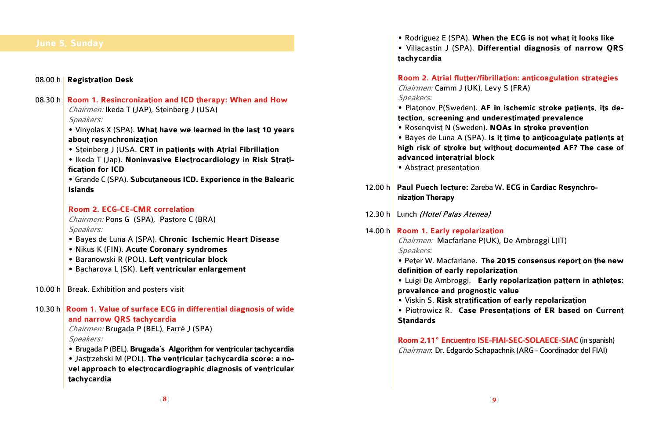#### 08.00 h **Registration Desk**

**tachycardia**

| 08.30 h | Room 1. Resincronization and ICD therapy: When and How<br>Chairmen: Ikeda T (JAP), Steinberg J (USA)<br>Speakers: |
|---------|-------------------------------------------------------------------------------------------------------------------|
|         | • Vinyolas X (SPA). What have we learned in the last 10 years                                                     |
|         | about resynchronization                                                                                           |
|         | • Steinberg J (USA. CRT in patients with Atrial Fibrillation                                                      |
|         | · Ikeda T (Jap). Noninvasive Electrocardiology in Risk Strati-                                                    |
|         | fication for ICD                                                                                                  |
|         | • Grande C (SPA). Subcutaneous ICD. Experience in the Balearic                                                    |
|         | <b>Islands</b>                                                                                                    |
|         | <b>Room 2. ECG-CE-CMR correlation</b>                                                                             |
|         | Chairmen: Pons G (SPA), Pastore C (BRA)                                                                           |
|         | Speakers:                                                                                                         |
|         | • Bayes de Luna A (SPA). Chronic Ischemic Heart Disease                                                           |
|         | . Nikus K (FIN). Acute Coronary syndromes                                                                         |
|         | · Baranowski R (POL). Left ventricular block                                                                      |
|         | · Bacharova L (SK). Left ventricular enlargement                                                                  |
| 10.00 h | Break. Exhibition and posters visit                                                                               |
|         | 10.30 h Room 1. Value of surface ECG in differential diagnosis of wide                                            |
|         | and narrow QRS tachycardia                                                                                        |
|         | Chairmen: Brugada P (BEL), Farré J (SPA)                                                                          |
|         | Speakers:                                                                                                         |
|         | · Brugada P (BEL). Brugada's Algorithm for ventricular tachycardia                                                |
|         | · Jastrzebski M (POL). The ventricular tachycardia score: a no-                                                   |
|         | vel approach to electrocardiographic diagnosis of ventricular                                                     |

**June 5, Sunday •** Rodríguez E (SPA). **When the ECG is not what it looks like**

**•** Villacastin J (SPA). **Differential diagnosis of narrow QRS tachycardia**

**Room 2. Atrial flutter/fibrillation: anticoagulation strategies** Chairmen: Camm J (UK), Levy S (FRA) Speakers:

**•** Platonov P(Sweden). **AF in ischemic stroke patients, its detection, screening and underestimated prevalence** 

**•** Rosenqvist N (Sweden). **NOAs in stroke prevention** 

**•** Bayes de Luna A (SPA). **Is it time to anticoagulate patients at high risk of stroke but without documented AF? The case of advanced interatrial block**

- Abstract presentation
- 12.00 h **Paul Puech lecture:** Zareba W**. ECG in Cardiac Resynchronization Therapy**
- 12.30 h Lunch (Hotel Palas Atenea)

#### 14.00 h **Room 1. Early repolarization**

Chairmen: Macfarlane P(UK), De Ambroggi L(IT) Speakers:

**•** Peter W. Macfarlane. **The 2015 consensus report on the new definition of early repolarization**

- Luigi De Ambroggi. **Early repolarization pattern in athletes: prevalence and prognostic value**
- Viskin S. **Risk stratification of early repolarization**
- Piotrowicz R. **Case Presentations of ER based on Current Standards**

**Room 2.11º Encuentro ISE-FIAI-SEC-SOLAECE-SIAC** (in spanish) Chairman: Dr. Edgardo Schapachnik (ARG - Coordinador del FIAI)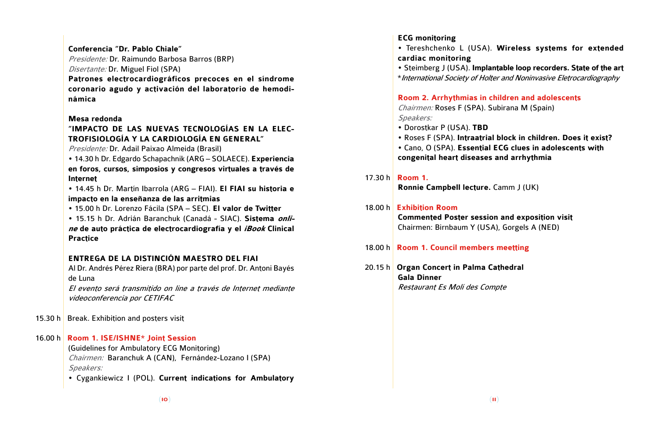#### **Conferencia "Dr. Pablo Chiale"**

Presidente: Dr. Raimundo Barbosa Barros (BRP) Disertante: Dr. Miguel Fiol (SPA)

**Patrones electrocardiográficos precoces en el síndrome coronario agudo y activación del laboratorio de hemodinámica**

#### **Mesa redonda**

### **"Impacto de las nuevas tecnologías en la electrofisiología y la cardiología en general"**

Presidente: Dr. Adail Paixao Almeida (Brasil)

• 14.30 h Dr. Edgardo Schapachnik (ARG – SOLAECE). **Experiencia en foros, cursos, simposios y congresos virtuales a través de Internet** 

• 14.45 h Dr. Martín Ibarrola (ARG – FIAI). **El FIAI su historia e impacto en la enseñanza de las arritmias**

• 15.00 h Dr. Lorenzo Fácila (SPA – SEC). **El valor de Twitter**

• 15.15 h Dr. Adrián Baranchuk (Canadá - SIAC). **Sistema online de auto práctica de electrocardiografía y el iBook Clinical Practice**

#### **Entrega de LA Distinción Maestro del FIAI**

Al Dr. Andrés Pérez Riera (BRA) por parte del prof. Dr. Antoni Bayés de Luna

El evento será transmitido on line a través de Internet mediante videoconferencia por CETIFAC

15.30 h Break. Exhibition and posters visit

#### 16.00 h **Room 1. ISE/ISHNE\* Joint Session**

(Guidelines for Ambulatory ECG Monitoring) Chairmen: Baranchuk A (CAN), Fernández-Lozano I (SPA) Speakers:

• Cygankiewicz I (POL). **Current indications for Ambulatory** 

#### **ECG monitoring**

• Tereshchenko L (USA). **Wireless systems for extended cardiac monitoring**

• Steimberg J (USA). **Implantable loop recorders. State of the art** \*International Society of Holter and Noninvasive Eletrocardiography

#### **Room 2. Arrhythmias in children and adolescents**

Chairmen: Roses F (SPA). Subirana M (Spain) Speakers:

- Dorostkar P (USA). **TBD**
- Roses F (SPA). **Intraatrial block in children. Does it exist?**
- Cano, O (SPA). **Essential ECG clues in adolescents with congenital heart diseases and arrhythmia**

#### 17.30 h **Room 1.**

**Ronnie Campbell lecture.** Camm J (UK)

#### 18.00 h **Exhibition Room Commented Poster session and exposition visit** Chairmen: Birnbaum Y (USA), Gorgels A (NED)

- 18.00 h **Room 1. Council members meetting**
- 20.15 h **Organ Concert in Palma Cathedral Gala Dinner** Restaurant Es Molí des Compte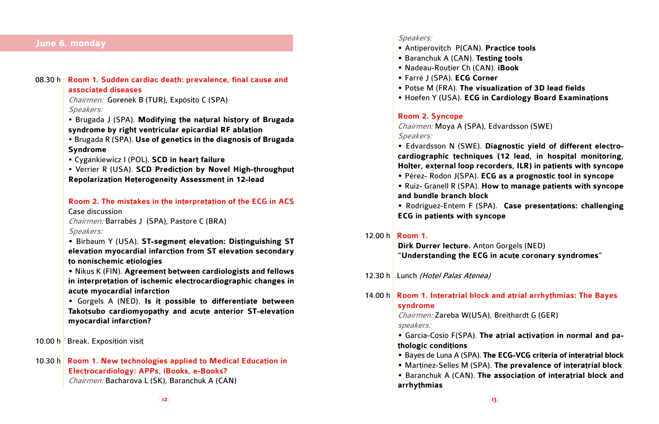### **June 6, monday**

| 08.30 h | Room 1. Sudden cardiac death: prevalence, final cause and                                                                                                                             |
|---------|---------------------------------------------------------------------------------------------------------------------------------------------------------------------------------------|
|         | associated diseases                                                                                                                                                                   |
|         | Chairmen: Gorenek B (TUR), Expósito C (SPA)                                                                                                                                           |
|         | Speakers:                                                                                                                                                                             |
|         | • Brugada J (SPA). Modifying the natural history of Brugada<br>syndrome by right ventricular epicardial RF ablation<br>. Brugada R (SPA). Use of genetics in the diagnosis of Brugada |
|         | Syndrome                                                                                                                                                                              |
|         | · Cygankiewicz I (POL). SCD in heart failure                                                                                                                                          |
|         | . Verrier R (USA). SCD Prediction by Novel High-throughput                                                                                                                            |
|         | Repolarization Heterogeneity Assessment in 12-lead                                                                                                                                    |
|         | Room 2. The mistakes in the interpretation of the ECG in ACS                                                                                                                          |
|         | Case discussion                                                                                                                                                                       |
|         | Chairmen: Barrabés J (SPA), Pastore C (BRA)<br>Speakers:                                                                                                                              |
|         | . Birbaum Y (USA). ST-segment elevation: Distinguishing ST<br>elevation myocardial infarction from ST elevation secondary                                                             |
|         | to nonischemic etiologies                                                                                                                                                             |
|         | . Nikus K (FIN). Agreement between cardiologists and fellows<br>in interpretation of ischemic electrocardiographic changes in<br>acute myocardial infarction                          |
|         | · Gorgels A (NED). Is it possible to differentiate between                                                                                                                            |
|         | Takotsubo cardiomyopathy and acute anterior ST-elevation                                                                                                                              |
|         | myocardial infarction?                                                                                                                                                                |
|         | 10.00 h Break. Exposition visit                                                                                                                                                       |
| 10.30 h | Room 1. New technologies applied to Medical Education in<br><b>Electrocardiology: APPs, iBooks, e-Books?</b>                                                                          |

Chairmen: Bacharova L (SK), Baranchuk A (CAN)

#### Speakers:

- Antiperovitch P(CAN). **Practice tools**
- Baranchuk A (CAN). **Testing tools**
- Nadeau-Routier Ch (CAN). **iBook**
- Farré J (SPA). **ECG Corner**
- Potse M (FRA). **The visualization of 3D lead fields**
- Hoefen Y (USA). **ECG in Cardiology Board Examinations**

#### **Room 2. Syncope**

Chairmen: Moya A (SPA), Edvardsson (SWE) Speakers:

**•** Edvardsson N (SWE). **Diagnostic yield of different electrocardiographic techniques (12 lead, in hospital monitoring, Holter, external loop recorders, ILR) in patients with syncope**

**•** Pérez- Rodon J(SPA). **ECG as a prognostic tool in syncope** 

**•** Ruiz- Granell R (SPA). **How to manage patients with syncope and bundle branch block**

**•** Rodríguez-Entem F (SPA). **Case presentations: challenging ECG in patients with syncope** 

#### 12.00 h **Room 1.**

**Dirk Durrer lecture.** Anton Gorgels (NED) **"Understanding the ECG in acute coronary syndromes"**

12.30 h Lunch (Hotel Palas Atenea)

### 14.00 h **Room 1. Interatrial block and atrial arrhythmias: The Bayes syndrome**

Chairmen: Zareba W(USA), Breithardt G (GER) speakers:

**•** Garcia-Cosío F(SPA). **The atrial activation in normal and pathologic conditions**

- Bayes de Luna A (SPA). **The ECG-VCG criteria of interatrial block**
- Martínez-Selles M (SPA). **The prevalence of interatrial block**

**•** Baranchuk A (CAN). **The association of interatrial block and arrhythmias**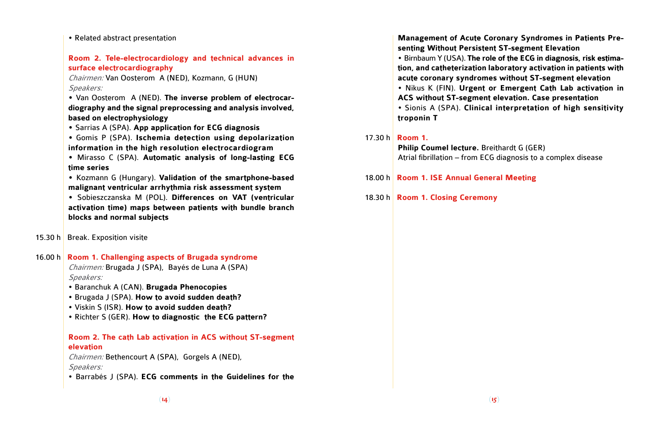• Related abstract presentation

#### **Room 2. Tele-electrocardiology and technical advances in surface electrocardiography**

Chairmen: Van Oosterom A (NED), Kozmann, G (HUN) Speakers:

**•** Van Oosterom A (NED). **The inverse problem of electrocardiography and the signal preprocessing and analysis involved, based on electrophysiology**

**•** Sarrias A (SPA). **App application for ECG diagnosis**

**•** Gomis P (SPA). **Ischemia detection using depolarization information in the high resolution electrocardiogram**

**•** Mirasso C (SPA). **Automatic analysis of long-lasting ECG time series**

**•** Kozmann G (Hungary). **Validation of the smartphone-based malignant ventricular arrhythmia risk assessment system**

**•** Sobieszczanska M (POL). **Differences on VAT (ventricular activation time) maps between patients with bundle branch blocks and normal subjects**

15.30 h Break. Exposition visite

# 16.00 h **Room 1. Challenging aspects of Brugada syndrome**

Chairmen: Brugada J (SPA), Bayés de Luna A (SPA) Speakers:

- Baranchuk A (CAN). **Brugada Phenocopies**
- Brugada J (SPA). **How to avoid sudden death?**
- Viskin S (ISR). **How to avoid sudden death?**
- Richter S (GER). **How to diagnostic the ECG pattern?**

**Room 2. The cath Lab activation in ACS without ST-segment elevation**

Chairmen: Bethencourt A (SPA), Gorgels A (NED),

Speakers:

• Barrabés J (SPA). **ECG comments in the Guidelines for the** 

**Management of Acute Coronary Syndromes in Patients Presenting Without Persistent ST-segment Elevation** • Birnbaum Y (USA). **The role of the ECG in diagnosis, risk estimation, and catheterization laboratory activation in patients with acute coronary syndromes without ST-segment elevation** • Nikus K (FIN). **Urgent or Emergent Cath Lab activation in ACS without ST-segment elevation. Case presentation** • Sionis A (SPA). **Clinical interpretation of high sensitivity troponin T**

#### 17.30 h **Room 1.**

**Philip Coumel lecture.** Breithardt G (GER) Atrial fibrillation – from ECG diagnosis to a complex disease

18.00 h **Room 1. ISE Annual General Meeting**

#### 18.30 h **Room 1. Closing Ceremony**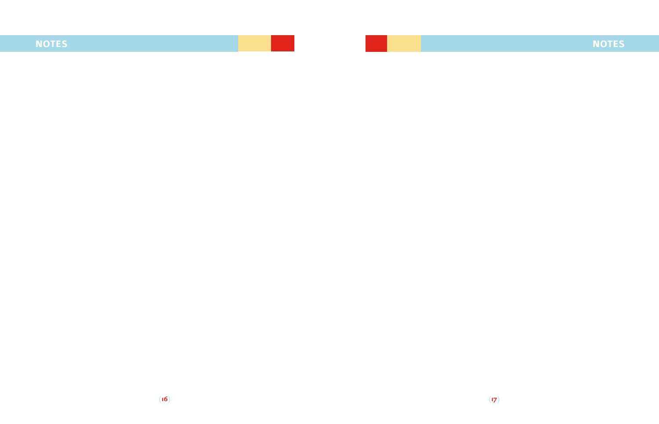# **NOTES**

**NOTES**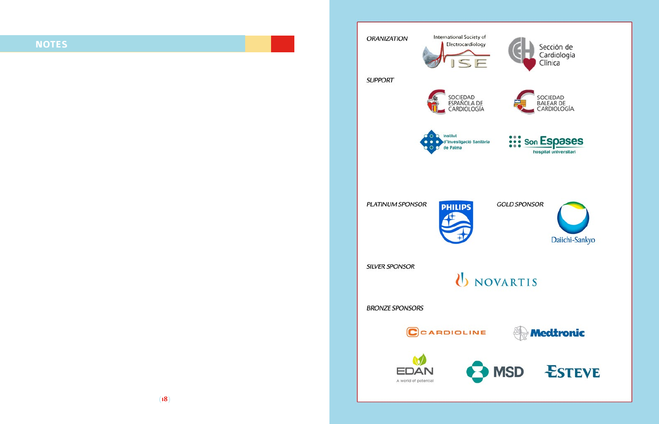# **NOTES**